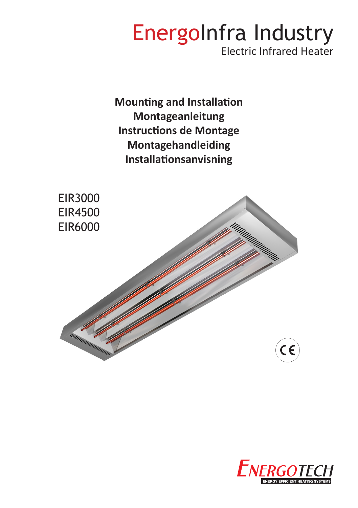# EnergoInfra Industry

Electric Infrared Heater

**Mounting and Installation Montageanleitung Instructions de Montage Montagehandleiding Installationsanvisning**



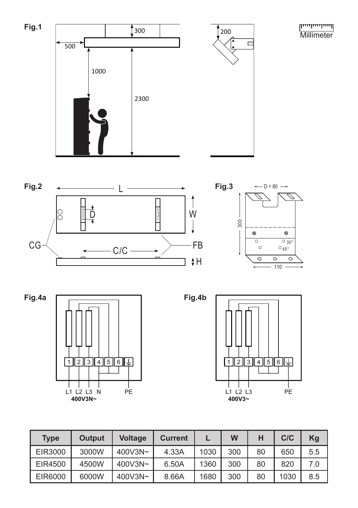

للسيلسيليتينا **Millimeter** 









| <b>Type</b> | <b>Output</b> | <b>Voltage</b>      | <b>Current</b> |      | W   | н  | C/C  | Kg  |
|-------------|---------------|---------------------|----------------|------|-----|----|------|-----|
| EIR3000     | 3000W         | 400V3N <sub>~</sub> | 4.33A          | 1030 | 300 | 80 | 650  | 5.5 |
| EIR4500     | 4500W         | 400V3N <sub>~</sub> | 6.50A          | 1360 | 300 | 80 | 820  | 7.0 |
| EIR6000     | 6000W         | 400V3N~             | 8.66A          | 1680 | 300 | 80 | 1030 | 8.5 |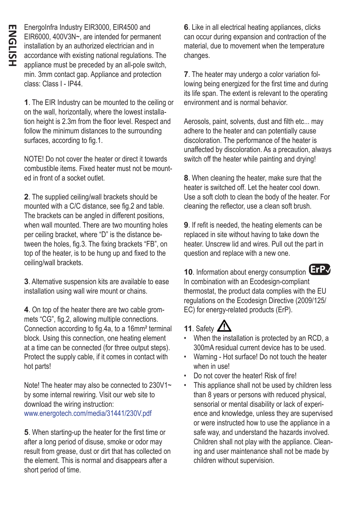EnergoInfra Industry EIR3000, EIR4500 and EIR6000, 400V3N~, are intended for permanent installation by an authorized electrician and in accordance with existing national regulations. The appliance must be preceded by an all-pole switch, min. 3mm contact gap. Appliance and protection class: Class I - IP44.

**1**. The EIR Industry can be mounted to the ceiling or on the wall, horizontally, where the lowest installation height is 2.3m from the floor level. Respect and follow the minimum distances to the surrounding surfaces, according to fig.1.

NOTE! Do not cover the heater or direct it towards combustible items. Fixed heater must not be mounted in front of a socket outlet.

**2**. The supplied ceiling/wall brackets should be mounted with a C/C distance, see fig.2 and table. The brackets can be angled in different positions. when wall mounted. There are two mounting holes per ceiling bracket, where "D" is the distance between the holes, fig.3. The fixing brackets "FB", on top of the heater, is to be hung up and fixed to the ceiling/wall brackets.

**3**. Alternative suspension kits are available to ease installation using wall wire mount or chains.

**4**. On top of the heater there are two cable grommets "CG", fig.2, allowing multiple connections. Connection according to fig.4a, to a 16mm² terminal block. Using this connection, one heating element at a time can be connected (for three output steps). Protect the supply cable, if it comes in contact with hot parts!

Note! The heater may also be connected to 230V1~ by some internal rewiring. Visit our web site to download the wiring instruction: www.energotech.com/media/31441/230V.pdf

**5**. When starting-up the heater for the first time or after a long period of disuse, smoke or odor may result from grease, dust or dirt that has collected on the element. This is normal and disappears after a short period of time.

**6**. Like in all electrical heating appliances, clicks can occur during expansion and contraction of the material, due to movement when the temperature changes.

**7**. The heater may undergo a color variation following being energized for the first time and during its life span. The extent is relevant to the operating environment and is normal behavior.

Aerosols, paint, solvents, dust and filth etc... may adhere to the heater and can potentially cause discoloration. The performance of the heater is unaffected by discoloration. As a precaution, always switch off the heater while painting and drying!

**8**. When cleaning the heater, make sure that the heater is switched off. Let the heater cool down. Use a soft cloth to clean the body of the heater. For cleaning the reflector, use a clean soft brush.

**9**. If refit is needed, the heating elements can be replaced in site without having to take down the heater. Unscrew lid and wires. Pull out the part in question and replace with a new one.

10. Information about energy consumption **ErP** In combination with an Ecodesign-compliant thermostat, the product data complies with the EU regulations on the Ecodesign Directive (2009/125/ EC) for energy-related products (ErP).

#### **11.** Safety  $\sqrt{!}$

- When the installation is protected by an RCD, a 300mA residual current device has to be used.
- Warning Hot surface! Do not touch the heater when in use!
- Do not cover the heater! Risk of fire!
- This appliance shall not be used by children less than 8 years or persons with reduced physical, sensorial or mental disability or lack of experience and knowledge, unless they are supervised or were instructed how to use the appliance in a safe way, and understand the hazards involved. Children shall not play with the appliance. Cleaning and user maintenance shall not be made by children without supervision.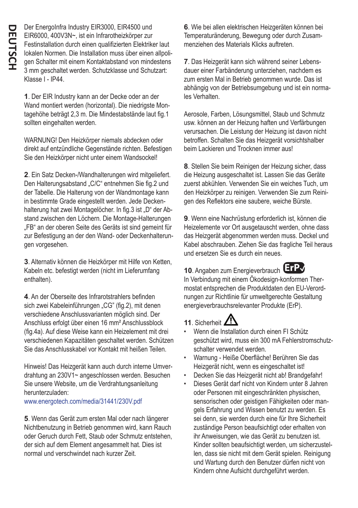Der EnergoInfra Industry EIR3000, EIR4500 und EIR6000, 400V3N~, ist ein Infrarotheizkörper zur Festinstallation durch einen qualifizierten Elektriker laut lokalen Normen. Die Installation muss über einen allpoligen Schalter mit einem Kontaktabstand von mindestens 3 mm geschaltet werden. Schutzklasse und Schutzart: Klasse I - IP44.

**1**. Der EIR Industry kann an der Decke oder an der Wand montiert werden (horizontal). Die niedrigste Montagehöhe beträgt 2,3 m. Die Mindestabstände laut fig.1 sollten eingehalten werden.

WARNUNG! Den Heizkörper niemals abdecken oder direkt auf entzündliche Gegenstände richten. Befestigen Sie den Heizkörper nicht unter einem Wandsockel!

**2**. Ein Satz Decken-/Wandhalterungen wird mitgeliefert. Den Halterungsabstand "C/C" entnehmen Sie fig.2 und der Tabelle. Die Halterung von der Wandmontage kann in bestimmte Grade eingestellt werden. Jede Deckenhalterung hat zwei Montagelöcher. In fig.3 ist "D" der Abstand zwischen den Löchern. Die Montage-Halterungen "FB" an der oberen Seite des Geräts ist sind gemeint für zur Befestigung an der den Wand- oder Deckenhalterungen vorgesehen.

**3**. Alternativ können die Heizkörper mit Hilfe von Ketten, Kabeln etc. befestigt werden (nicht im Lieferumfang enthalten).

**4**. An der Oberseite des Infrarotstrahlers befinden sich zwei Kabeleinführungen "CG" (fig.2), mit denen verschiedene Anschlussvarianten möglich sind. Der Anschluss erfolgt über einen 16 mm² Anschlussblock (fig.4a). Auf diese Weise kann ein Heizelement mit drei verschiedenen Kapazitäten geschaltet werden. Schützen Sie das Anschlusskabel vor Kontakt mit heißen Teilen.

Hinweis! Das Heizgerät kann auch durch interne Umverdrahtung an 230V1~ angeschlossen werden. Besuchen Sie unsere Website, um die Verdrahtungsanleitung herunterzuladen:

#### www.energotech.com/media/31441/230V.pdf

**5**. Wenn das Gerät zum ersten Mal oder nach längerer Nichtbenutzung in Betrieb genommen wird, kann Rauch oder Geruch durch Fett, Staub oder Schmutz entstehen, der sich auf dem Element angesammelt hat. Dies ist normal und verschwindet nach kurzer Zeit.

**6**. Wie bei allen elektrischen Heizgeräten können bei Temperaturänderung, Bewegung oder durch Zusammenziehen des Materials Klicks auftreten.

**7**. Das Heizgerät kann sich während seiner Lebensdauer einer Farbänderung unterziehen, nachdem es zum ersten Mal in Betrieb genommen wurde. Das ist abhängig von der Betriebsumgebung und ist ein normales Verhalten.

Aerosole, Farben, Lösungsmittel, Staub und Schmutz usw. können an der Heizung haften und Verfärbungen verursachen. Die Leistung der Heizung ist davon nicht betroffen. Schalten Sie das Heizgerät vorsichtshalber beim Lackieren und Trocknen immer aus!

**8**. Stellen Sie beim Reinigen der Heizung sicher, dass die Heizung ausgeschaltet ist. Lassen Sie das Geräte zuerst abkühlen. Verwenden Sie ein weiches Tuch, um den Heizkörper zu reinigen. Verwenden Sie zum Reinigen des Reflektors eine saubere, weiche Bürste.

**9**. Wenn eine Nachrüstung erforderlich ist, können die Heizelemente vor Ort ausgetauscht werden, ohne dass das Heizgerät abgenommen werden muss. Deckel und Kabel abschrauben. Ziehen Sie das fragliche Teil heraus und ersetzen Sie es durch ein neues.

**10**. Angaben zum Energieverbrauch **ErP**✔



In Verbindung mit einem Ökodesign-konformen Thermostat entsprechen die Produktdaten den EU-Verordnungen zur Richtlinie für umweltgerechte Gestaltung energieverbrauchsrelevanter Produkte (ErP).

## 11. Sicherheit  $\angle$

- Wenn die Installation durch einen FI Schütz geschützt wird, muss ein 300 mA Fehlerstromschutzschalter verwendet werden.
- Warnung Heiße Oberfläche! Berühren Sie das Heizgerät nicht, wenn es eingeschaltet ist!
- Decken Sie das Heizgerät nicht ab! Brandgefahr!
- Dieses Gerät darf nicht von Kindern unter 8 Jahren oder Personen mit eingeschränkten physischen, sensorischen oder geistigen Fähigkeiten oder mangels Erfahrung und Wissen benutzt zu werden. Es sei denn, sie werden durch eine für Ihre Sicherheit zuständige Person beaufsichtigt oder erhalten von ihr Anweisungen, wie das Gerät zu benutzen ist. Kinder sollten beaufsichtigt werden, um sicherzustellen, dass sie nicht mit dem Gerät spielen. Reinigung und Wartung durch den Benutzer dürfen nicht von Kindern ohne Aufsicht durchgeführt werden.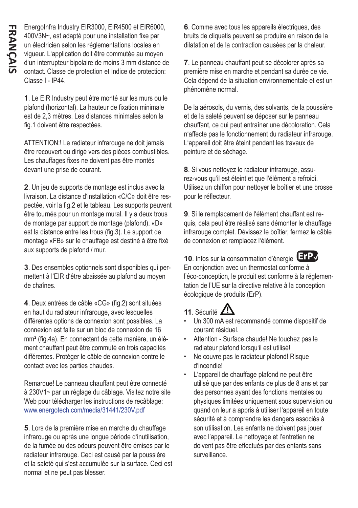EnergoInfra Industry EIR3000, EIR4500 et EIR6000. 400V3N~, est adapté pour une installation fixe par un électricien selon les réglementations locales en vigueur. L'application doit être commutée au moyen d'un interrupteur bipolaire de moins 3 mm distance de contact. Classe de protection et Indice de protection: Classe I - IP44.

**1**. Le EIR Industry peut être monté sur les murs ou le plafond (horizontal). La hauteur de fixation minimale est de 2,3 mètres. Les distances minimales selon la fig.1 doivent être respectées.

ATTENTION:! Le radiateur infrarouge ne doit jamais être recouvert ou dirigé vers des pièces combustibles. Les chauffages fixes ne doivent pas être montés devant une prise de courant.

**2**. Un jeu de supports de montage est inclus avec la livraison. La distance d'installation «C/C» doit être respectée, voir la fig.2 et le tableau. Les supports peuvent être tournés pour un montage mural. Il y a deux trous de montage par support de montage (plafond). «D» est la distance entre les trous (fig.3). Le support de montage «FB» sur le chauffage est destiné à être fixé aux supports de plafond / mur.

**3**. Des ensembles optionnels sont disponibles qui permettent à l'EIR d'être abaissée au plafond au moyen de chaînes.

**4**. Deux entrées de câble «CG» (fig.2) sont situées en haut du radiateur infrarouge, avec lesquelles différentes options de connexion sont possibles. La connexion est faite sur un bloc de connexion de 16 mm² (fig.4a). En connectant de cette manière, un élément chauffant peut être commuté en trois capacités différentes. Protéger le câble de connexion contre le contact avec les parties chaudes.

Remarque! Le panneau chauffant peut être connecté à 230V1~ par un réglage du câblage. Visitez notre site Web pour télécharger les instructions de recâblage: www.energotech.com/media/31441/230V.pdf

**5**. Lors de la première mise en marche du chauffage infrarouge ou après une longue période d'inutilisation, de la fumée ou des odeurs peuvent être émises par le radiateur infrarouge. Ceci est causé par la poussière et la saleté qui s'est accumulée sur la surface. Ceci est normal et ne peut pas blesser.

**6**. Comme avec tous les appareils électriques, des bruits de cliquetis peuvent se produire en raison de la dilatation et de la contraction causées par la chaleur.

**7**. Le panneau chauffant peut se décolorer après sa première mise en marche et pendant sa durée de vie. Cela dépend de la situation environnementale et est un phénomène normal.

De la aérosols, du vernis, des solvants, de la poussière et de la saleté peuvent se déposer sur le panneau chauffant, ce qui peut entraîner une décoloration. Cela n'affecte pas le fonctionnement du radiateur infrarouge. L'appareil doit être éteint pendant les travaux de peinture et de séchage.

**8**. Si vous nettoyez le radiateur infrarouge, assurez-vous qu'il est éteint et que l'élément a refroidi. Utilisez un chiffon pour nettoyer le boîtier et une brosse pour le réflecteur.

**9**. Si le remplacement de l'élément chauffant est requis, cela peut être réalisé sans démonter le chauffage infrarouge complet. Dévissez le boîtier, fermez le câble de connexion et remplacez l'élément.

**10**. Infos sur la consommation d'énergie **ErP**✔En conjonction avec un thermostat conforme à l'éco-conception, le produit est conforme à la réglementation de l'UE sur la directive relative à la conception écologique de produits (ErP).

## **11**. Sécurité

- Un 300 mA est recommandé comme dispositif de courant résiduel.
- Attention Surface chaude! Ne touchez pas le radiateur plafond lorsqu'il est utilisé!
- Ne couvre pas le radiateur plafond! Risque d'incendie!
- L'appareil de chauffage plafond ne peut être utilisé que par des enfants de plus de 8 ans et par des personnes ayant des fonctions mentales ou physiques limitées uniquement sous supervision ou quand on leur a appris à utiliser l'appareil en toute sécurité et à comprendre les dangers associés à son utilisation. Les enfants ne doivent pas jouer avec l'appareil. Le nettoyage et l'entretien ne doivent pas être effectués par des enfants sans surveillance.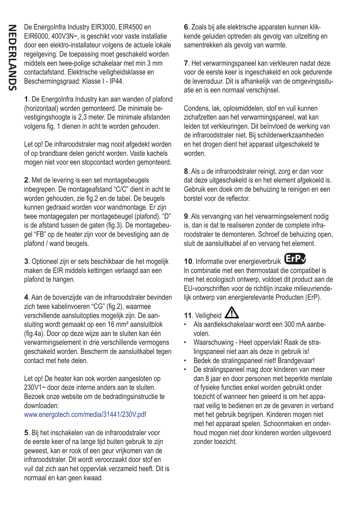De EnergoInfra Industry EIR3000, EIR4500 en EIR6000, 400V3N~, is geschikt voor vaste installatie door een elektro-installateur volgens de actuele lokale regelgeving. De toepassing moet geschakeld worden middels een twee-polige schakelaar met min 3 mm contactafstand. Elektrische veiligheidsklasse en Beschermingsgraad: Klasse I - IP44.

**1**. De EnergoInfra Industry kan aan wanden of plafond (horizontaal) worden gemonteerd. De minimale bevestigingshoogte is 2,3 meter. De minimale afstanden volgens fig. 1 dienen in acht te worden gehouden.

Let op! De infraroodstraler mag nooit afgedekt worden of op brandbare delen gericht worden. Vaste kachels mogen niet voor een stopcontact worden gemonteerd.

**2**. Met de levering is een set montagebeugels inbegrepen. De montageafstand "C/C" dient in acht te worden gehouden, zie fig.2 en de tabel. De beugels kunnen gedraaid worden voor wandmontage. Er zijn twee montagegaten per montagebeugel (plafond). "D" is de afstand tussen de gaten (fig.3). De montagebeugel "FB" op de heater zijn voor de bevestiging aan de plafond / wand beugels.

**3**. Optioneel zijn er sets beschikbaar die het mogelijk maken de EIR middels kettingen verlaagd aan een plafond te hangen.

**4**. Aan de bovenzijde van de infraroodstraler bevinden zich twee kabelinvoeren "CG" (fig.2), waarmee verschillende aansluitopties mogelijk zijn. De aansluiting wordt gemaakt op een 16 mm² aansluitblok (fig.4a). Door op deze wijze aan te sluiten kan één verwarmingselement in drie verschillende vermogens geschakeld worden. Bescherm de aansluitkabel tegen contact met hete delen.

Let op! De heater kan ook worden aangesloten op 230V1~ door deze interne anders aan te sluiten. Bezoek onze website om de bedradingsinstructie te downloaden:

#### www.energotech.com/media/31441/230V.pdf

**5**. Bij het inschakelen van de infraroodstraler voor de eerste keer of na lange tijd buiten gebruik te zijn geweest, kan er rook of een geur vrijkomen van de infraroodstraler. Dit wordt veroorzaakt door stof en vuil dat zich aan het oppervlak verzameld heeft. Dit is normaal en kan geen kwaad.

**6**. Zoals bij alle elektrische apparaten kunnen klikkende geluiden optreden als gevolg van uitzetting en samentrekken als gevolg van warmte.

**7**. Het verwarmingspaneel kan verkleuren nadat deze voor de eerste keer is ingeschakeld en ook gedurende de levensduur. Dit is afhankelijk van de omgevingssituatie en is een normaal verschijnsel.

Condens, lak, oplosmiddelen, stof en vuil kunnen zichafzetten aan het verwarmingspaneel, wat kan leiden tot verkleuringen. Dit beïnvloed de werking van de infraroodstraler niet. Bij schilderwerkzaamheden en het drogen dient het apparaat uitgeschakeld te worden.

**8**. Als u de infraroodstraler reinigt, zorg er dan voor dat deze uitgeschakeld is en het element afgekoeld is. Gebruik een doek om de behuizing te reinigen en een borstel voor de reflector.

**9**. Als vervanging van het verwarmingselement nodig is, dan is dat te realiseren zonder de complete infraroodstraler te demonteren. Schroef de behuizing open, sluit de aansluitkabel af en vervang het element.

10. Informatie over energieverbruik **ErP** 



In combinatie met een thermostaat die compatibel is met het ecologisch ontwerp, voldoet dit product aan de EU-voorschriften voor de richtlijn inzake milieuvriendelijk ontwerp van energierelevante Producten (ErP).

#### 11. Veiligheid  $\mathcal{L}$

- Als aardlekschakelaar wordt een 300 mA aanbevolen.
- Waarschuwing Heet oppervlak! Raak de stralingspaneel niet aan als deze in gebruik is!
- Bedek de stralingspaneel niet! Brandgevaar!
- De stralingspaneel mag door kinderen van meer dan 8 jaar en door personen met beperkte mentale of fysieke functies enkel worden gebruikt onder toezicht of wanneer hen geleerd is om het apparaat veilig te bedienen en ze de gevaren in verband met het gebruik begrijpen. Kinderen mogen niet met het apparaat spelen. Schoonmaken en onderhoud mogen niet door kinderen worden uitgevoerd zonder toezicht.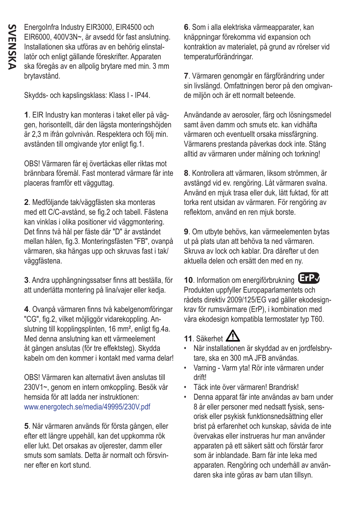EnergoInfra Industry EIR3000, EIR4500 och EIR6000, 400V3N~, är avsedd för fast anslutning. Installationen ska utföras av en behörig elinstallatör och enligt gällande föreskrifter. Apparaten ska föregås av en allpolig brytare med min. 3 mm brytavstånd.

Skydds- och kapslingsklass: Klass I - IP44.

**1**. EIR Industry kan monteras i taket eller på väggen, horisontellt, där den lägsta monteringshöjden är 2,3 m ifrån golvnivån. Respektera och följ min. avstånden till omgivande ytor enligt fig.1.

OBS! Värmaren får ej övertäckas eller riktas mot brännbara föremål. Fast monterad värmare får inte placeras framför ett vägguttag.

**2**. Medföljande tak/väggfästen ska monteras med ett C/C-avstånd, se fig.2 och tabell. Fästena kan vinklas i olika positioner vid väggmontering. Det finns två hål per fäste där "D" är avståndet mellan hålen, fig.3. Monteringsfästen "FB", ovanpå värmaren, ska hängas upp och skruvas fast i tak/ väggfästena.

**3**. Andra upphängningssatser finns att beställa, för att underlätta montering på lina/vajer eller kedja.

**4**. Ovanpå värmaren finns två kabelgenomföringar "CG", fig.2, vilket möjliggör vidarekoppling. Anslutning till kopplingsplinten, 16 mm², enligt fig.4a. Med denna anslutning kan ett värmeelement åt gången anslutas (för tre effektsteg). Skydda kabeln om den kommer i kontakt med varma delar!

OBS! Värmaren kan alternativt även anslutas till 230V1~, genom en intern omkoppling. Besök vår hemsida för att ladda ner instruktionen: www.energotech.se/media/49995/230V.pdf

**5**. När värmaren används för första gången, eller efter ett längre uppehåll, kan det uppkomma rök eller lukt. Det orsakas av oljerester, damm eller smuts som samlats. Detta är normalt och försvinner efter en kort stund.

**6**. Som i alla elektriska värmeapparater, kan knäppningar förekomma vid expansion och kontraktion av materialet, på grund av rörelser vid temperaturförändringar.

**7**. Värmaren genomgår en färgförändring under sin livslängd. Omfattningen beror på den omgivande miljön och är ett normalt beteende.

Användande av aerosoler, färg och lösningsmedel samt även damm och smuts etc. kan vidhäfta värmaren och eventuellt orsaka missfärgning. Värmarens prestanda påverkas dock inte. Stäng alltid av värmaren under målning och torkning!

**8**. Kontrollera att värmaren, liksom strömmen, är avstängd vid ev. rengöring. Låt värmaren svalna. Använd en mjuk trasa eller duk, lätt fuktad, för att torka rent utsidan av värmaren. För rengöring av reflektorn, använd en ren mjuk borste.

**9**. Om utbyte behövs, kan värmeelementen bytas ut på plats utan att behöva ta ned värmaren. Skruva av lock och kablar. Dra därefter ut den aktuella delen och ersätt den med en ny.

10. Information om energiförbrukning **ErP** 



Produkten uppfyller Europaparlamentets och rådets direktiv 2009/125/EG vad gäller ekodesignkrav för rumsvärmare (ErP), i kombination med våra ekodesign kompatibla termostater typ T60.

## **11**. Säkerhet

- När installationen är skyddad av en jordfelsbrytare, ska en 300 mA JFB användas.
- Varning Varm yta! Rör inte värmaren under drift!
- Täck inte över värmaren! Brandrisk!
- Denna apparat får inte användas av barn under 8 år eller personer med nedsatt fysisk, sensorisk eller psykisk funktionsnedsättning eller brist på erfarenhet och kunskap, såvida de inte övervakas eller instrueras hur man använder apparaten på ett säkert sätt och förstår faror som är inblandade. Barn får inte leka med apparaten. Rengöring och underhåll av användaren ska inte göras av barn utan tillsyn.